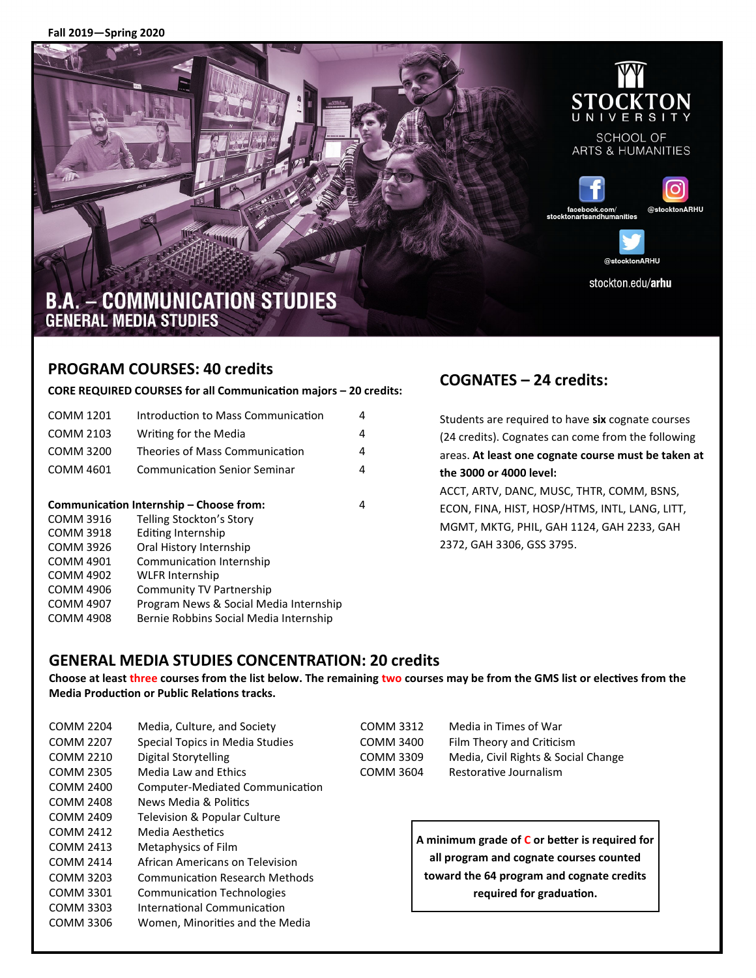**Fall 2019—Spring 2020**







# **B.A. - COMMUNICATION STUDIES GENERAL MEDIA STUDIES**

#### **PROGRAM COURSES: 40 credits**

#### **CORE REQUIRED COURSES for all Communication majors – 20 credits:**

| <b>COMM 1201</b>                             | Introduction to Mass Communication     | 4 |  |  |
|----------------------------------------------|----------------------------------------|---|--|--|
| COMM 2103                                    | Writing for the Media                  | 4 |  |  |
| COMM 3200                                    | Theories of Mass Communication         | 4 |  |  |
| COMM 4601                                    | <b>Communication Senior Seminar</b>    | 4 |  |  |
|                                              |                                        |   |  |  |
| Communication Internship – Choose from:<br>4 |                                        |   |  |  |
| COMM 3916                                    | Telling Stockton's Story               |   |  |  |
| <b>COMM 3918</b>                             | Editing Internship                     |   |  |  |
| COMM 3926                                    | Oral History Internship                |   |  |  |
| COMM 4901                                    | Communication Internship               |   |  |  |
| <b>COMM 4902</b>                             | <b>WLFR Internship</b>                 |   |  |  |
| COMM 4906                                    | Community TV Partnership               |   |  |  |
| COMM 4907                                    | Program News & Social Media Internship |   |  |  |
| <b>COMM 4908</b>                             | Bernie Robbins Social Media Internship |   |  |  |
|                                              |                                        |   |  |  |

## **COGNATES – 24 credits:**

| the 3000 or 4000 level:                             |  |  |  |  |
|-----------------------------------------------------|--|--|--|--|
| areas. At least one cognate course must be taken at |  |  |  |  |
| (24 credits). Cognates can come from the following  |  |  |  |  |
| Students are required to have six cognate courses   |  |  |  |  |

ACCT, ARTV, DANC, MUSC, THTR, COMM, BSNS, ECON, FINA, HIST, HOSP/HTMS, INTL, LANG, LITT, MGMT, MKTG, PHIL, GAH 1124, GAH 2233, GAH 2372, GAH 3306, GSS 3795.

#### **GENERAL MEDIA STUDIES CONCENTRATION: 20 credits**

**Choose at least three courses from the list below. The remaining two courses may be from the GMS list or electives from the Media Production or Public Relations tracks.** 

| <b>COMM 2204</b>                                    | Media, Culture, and Society           | <b>COMM 3312</b> | Media in Times of War       |
|-----------------------------------------------------|---------------------------------------|------------------|-----------------------------|
| <b>COMM 2207</b>                                    | Special Topics in Media Studies       | <b>COMM 3400</b> | Film Theory and Criticis    |
| <b>COMM 2210</b>                                    | Digital Storytelling                  | <b>COMM 3309</b> | Media, Civil Rights & So    |
| <b>COMM 2305</b>                                    | Media Law and Ethics                  | <b>COMM 3604</b> | Restorative Journalism      |
| <b>COMM 2400</b>                                    | Computer-Mediated Communication       |                  |                             |
| <b>COMM 2408</b>                                    | News Media & Politics                 |                  |                             |
| <b>COMM 2409</b>                                    | Television & Popular Culture          |                  |                             |
| <b>COMM 2412</b>                                    | Media Aesthetics                      |                  | A minimum grade of C or bet |
| <b>COMM 2413</b>                                    | Metaphysics of Film                   |                  |                             |
| African Americans on Television<br><b>COMM 2414</b> |                                       |                  | all program and cognate co  |
| COMM 3203                                           | <b>Communication Research Methods</b> |                  | toward the 64 program and   |
| COMM 3301                                           | <b>Communication Technologies</b>     |                  | required for gradu          |
| <b>COMM 3303</b>                                    | International Communication           |                  |                             |
| <b>COMM 3306</b>                                    | Women, Minorities and the Media       |                  |                             |

AM 3400 Film Theory and Criticism MM 3309 Media, Civil Rights & Social Change AM 3604 Restorative Journalism

> **A minimum grade of C or better is required for all program and cognate courses counted toward the 64 program and cognate credits required for graduation.**